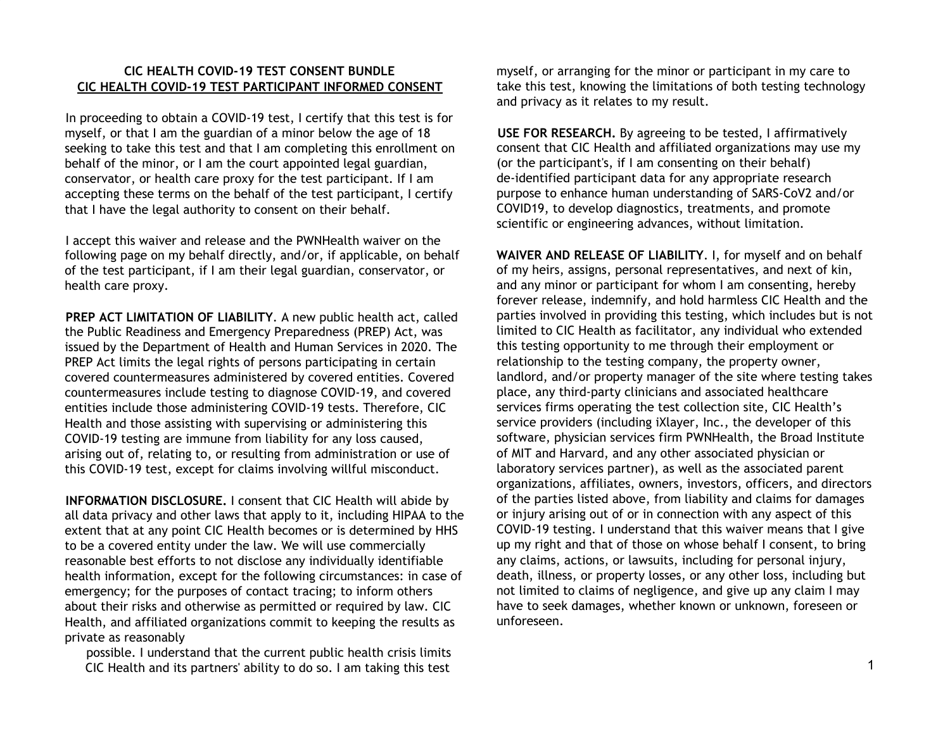## **CIC HEALTH COVID-19 TEST CONSENT BUNDLE CIC HEALTH COVID-19 TEST PARTICIPANT INFORMED CONSENT**

In proceeding to obtain a COVID-19 test, I certify that this test is for myself, or that I am the guardian of a minor below the age of 18 seeking to take this test and that I am completing this enrollment on behalf of the minor, or I am the court appointed legal guardian, conservator, or health care proxy for the test participant. If I am accepting these terms on the behalf of the test participant, I certify that I have the legal authority to consent on their behalf.

I accept this waiver and release and the PWNHealth waiver on the following page on my behalf directly, and/or, if applicable, on behalf of the test participant, if I am their legal guardian, conservator, or health care proxy.

**PREP ACT LIMITATION OF LIABILITY**. A new public health act, called the Public Readiness and Emergency Preparedness (PREP) Act, was issued by the Department of Health and Human Services in 2020. The PREP Act limits the legal rights of persons participating in certain covered countermeasures administered by covered entities. Covered countermeasures include testing to diagnose COVID-19, and covered entities include those administering COVID-19 tests. Therefore, CIC Health and those assisting with supervising or administering this COVID-19 testing are immune from liability for any loss caused, arising out of, relating to, or resulting from administration or use of this COVID-19 test, except for claims involving willful misconduct.

**INFORMATION DISCLOSURE.** I consent that CIC Health will abide by all data privacy and other laws that apply to it, including HIPAA to the extent that at any point CIC Health becomes or is determined by HHS to be a covered entity under the law. We will use commercially reasonable best efforts to not disclose any individually identifiable health information, except for the following circumstances: in case of emergency; for the purposes of contact tracing; to inform others about their risks and otherwise as permitted or required by law. CIC Health, and affiliated organizations commit to keeping the results as private as reasonably

possible. I understand that the current public health crisis limits CIC Health and its partners' ability to do so. I am taking this test

myself, or arranging for the minor or participant in my care to take this test, knowing the limitations of both testing technology and privacy as it relates to my result.

**USE FOR RESEARCH.** By agreeing to be tested, I affirmatively consent that CIC Health and affiliated organizations may use my (or the participant's, if I am consenting on their behalf) de-identified participant data for any appropriate research purpose to enhance human understanding of SARS-CoV2 and/or COVID19, to develop diagnostics, treatments, and promote scientific or engineering advances, without limitation.

**WAIVER AND RELEASE OF LIABILITY**. I, for myself and on behalf of my heirs, assigns, personal representatives, and next of kin, and any minor or participant for whom I am consenting, hereby forever release, indemnify, and hold harmless CIC Health and the parties involved in providing this testing, which includes but is not limited to CIC Health as facilitator, any individual who extended this testing opportunity to me through their employment or relationship to the testing company, the property owner, landlord, and/or property manager of the site where testing takes place, any third-party clinicians and associated healthcare services firms operating the test collection site, CIC Health's service providers (including iXlayer, Inc., the developer of this software, physician services firm PWNHealth, the Broad Institute of MIT and Harvard, and any other associated physician or laboratory services partner), as well as the associated parent organizations, affiliates, owners, investors, officers, and directors of the parties listed above, from liability and claims for damages or injury arising out of or in connection with any aspect of this COVID-19 testing. I understand that this waiver means that I give up my right and that of those on whose behalf I consent, to bring any claims, actions, or lawsuits, including for personal injury, death, illness, or property losses, or any other loss, including but not limited to claims of negligence, and give up any claim I may have to seek damages, whether known or unknown, foreseen or unforeseen.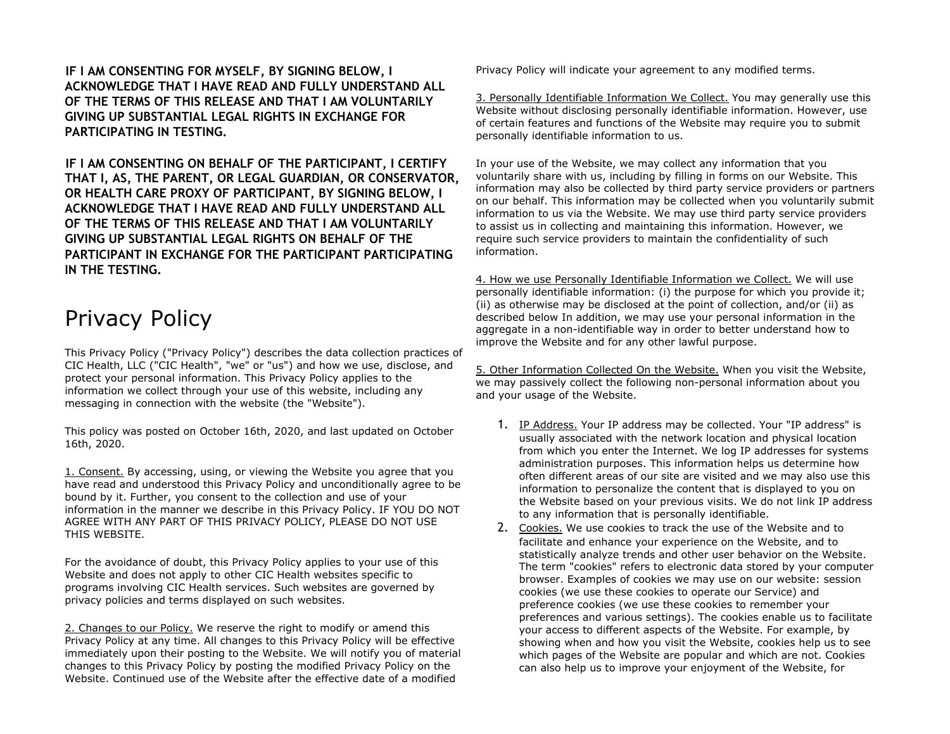**IF I AM CONSENTING FOR MYSELF, BY SIGNING BELOW, I ACKNOWLEDGE THAT I HAVE READ AND FULLY UNDERSTAND ALL OF THE TERMS OF THIS RELEASE AND THAT I AM VOLUNTARILY GIVING UP SUBSTANTIAL LEGAL RIGHTS IN EXCHANGE FOR PARTICIPATING IN TESTING.**

**IF I AM CONSENTING ON BEHALF OF THE PARTICIPANT, I CERTIFY THAT I, AS, THE PARENT, OR LEGAL GUARDIAN, OR CONSERVATOR, OR HEALTH CARE PROXY OF PARTICIPANT, BY SIGNING BELOW, I ACKNOWLEDGE THAT I HAVE READ AND FULLY UNDERSTAND ALL OF THE TERMS OF THIS RELEASE AND THAT I AM VOLUNTARILY GIVING UP SUBSTANTIAL LEGAL RIGHTS ON BEHALF OF THE PARTICIPANT IN EXCHANGE FOR THE PARTICIPANT PARTICIPATING IN THE TESTING.**

# Privacy Policy

This Privacy Policy ("Privacy Policy") describes the data collection practices of CIC Health, LLC ("CIC Health", "we" or "us") and how we use, disclose, and protect your personal information. This Privacy Policy applies to the information we collect through your use of this website, including any messaging in connection with the website (the "Website").

This policy was posted on October 16th, 2020, and last updated on October 16th, 2020.

1. Consent. By accessing, using, or viewing the Website you agree that you have read and understood this Privacy Policy and unconditionally agree to be bound by it. Further, you consent to the collection and use of your information in the manner we describe in this Privacy Policy. IF YOU DO NOT AGREE WITH ANY PART OF THIS PRIVACY POLICY, PLEASE DO NOT USE THIS WEBSITE.

For the avoidance of doubt, this Privacy Policy applies to your use of this Website and does not apply to other CIC Health websites specific to programs involving CIC Health services. Such websites are governed by privacy policies and terms displayed on such websites.

2. Changes to our Policy. We reserve the right to modify or amend this Privacy Policy at any time. All changes to this Privacy Policy will be effective immediately upon their posting to the Website. We will notify you of material changes to this Privacy Policy by posting the modified Privacy Policy on the Website. Continued use of the Website after the effective date of a modified

Privacy Policy will indicate your agreement to any modified terms.

3. Personally Identifiable Information We Collect. You may generally use this Website without disclosing personally identifiable information. However, use of certain features and functions of the Website may require you to submit personally identifiable information to us.

In your use of the Website, we may collect any information that you voluntarily share with us, including by filling in forms on our Website. This information may also be collected by third party service providers or partners on our behalf. This information may be collected when you voluntarily submit information to us via the Website. We may use third party service providers to assist us in collecting and maintaining this information. However, we require such service providers to maintain the confidentiality of such information.

4. How we use Personally Identifiable Information we Collect. We will use personally identifiable information: (i) the purpose for which you provide it; (ii) as otherwise may be disclosed at the point of collection, and/or (ii) as described below In addition, we may use your personal information in the aggregate in a non-identifiable way in order to better understand how to improve the Website and for any other lawful purpose.

5. Other Information Collected On the Website. When you visit the Website, we may passively collect the following non-personal information about you and your usage of the Website.

- 1. IP Address. Your IP address may be collected. Your "IP address" is usually associated with the network location and physical location from which you enter the Internet. We log IP addresses for systems administration purposes. This information helps us determine how often different areas of our site are visited and we may also use this information to personalize the content that is displayed to you on the Website based on your previous visits. We do not link IP address to any information that is personally identifiable.
- 2. Cookies. We use cookies to track the use of the Website and to facilitate and enhance your experience on the Website, and to statistically analyze trends and other user behavior on the Website. The term "cookies" refers to electronic data stored by your computer browser. Examples of cookies we may use on our website: session cookies (we use these cookies to operate our Service) and preference cookies (we use these cookies to remember your preferences and various settings). The cookies enable us to facilitate your access to different aspects of the Website. For example, by showing when and how you visit the Website, cookies help us to see which pages of the Website are popular and which are not. Cookies can also help us to improve your enjoyment of the Website, for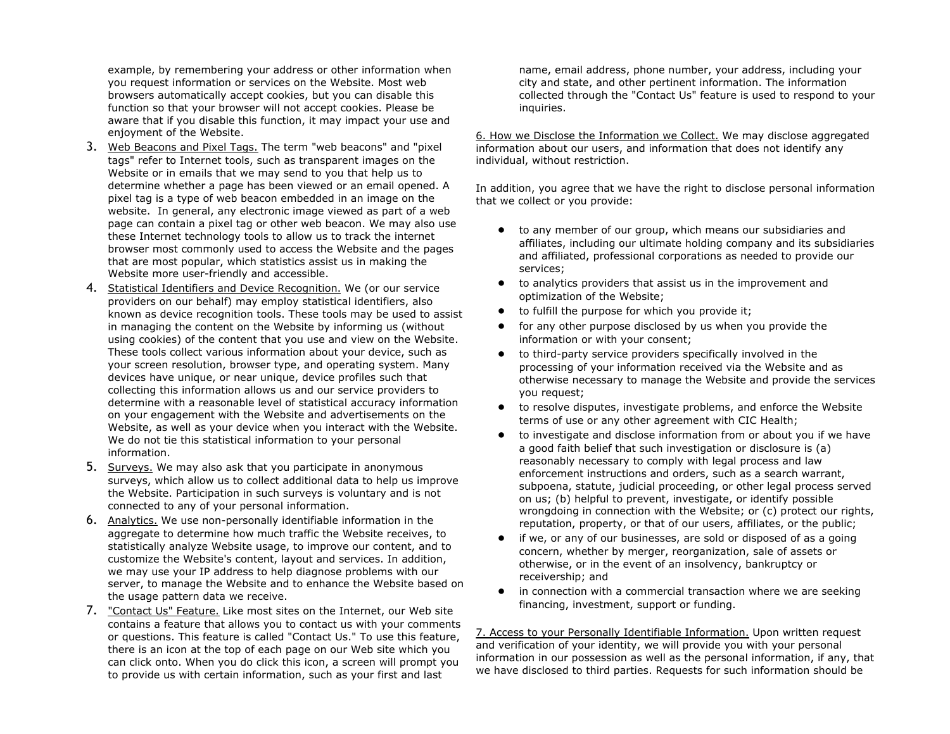example, by remembering your address or other information when you request information or services on the Website. Most web browsers automatically accept cookies, but you can disable this function so that your browser will not accept cookies. Please be aware that if you disable this function, it may impact your use and enjoyment of the Website.

- 3. Web Beacons and Pixel Tags. The term "web beacons" and "pixel tags" refer to Internet tools, such as transparent images on the Website or in emails that we may send to you that help us to determine whether a page has been viewed or an email opened. A pixel tag is a type of web beacon embedded in an image on the website. In general, any electronic image viewed as part of a web page can contain a pixel tag or other web beacon. We may also use these Internet technology tools to allow us to track the internet browser most commonly used to access the Website and the pages that are most popular, which statistics assist us in making the Website more user-friendly and accessible.
- 4. Statistical Identifiers and Device Recognition. We (or our service providers on our behalf) may employ statistical identifiers, also known as device recognition tools. These tools may be used to assist in managing the content on the Website by informing us (without using cookies) of the content that you use and view on the Website. These tools collect various information about your device, such as your screen resolution, browser type, and operating system. Many devices have unique, or near unique, device profiles such that collecting this information allows us and our service providers to determine with a reasonable level of statistical accuracy information on your engagement with the Website and advertisements on the Website, as well as your device when you interact with the Website. We do not tie this statistical information to your personal information.
- 5. Surveys. We may also ask that you participate in anonymous surveys, which allow us to collect additional data to help us improve the Website. Participation in such surveys is voluntary and is not connected to any of your personal information.
- 6. Analytics. We use non-personally identifiable information in the aggregate to determine how much traffic the Website receives, to statistically analyze Website usage, to improve our content, and to customize the Website's content, layout and services. In addition, we may use your IP address to help diagnose problems with our server, to manage the Website and to enhance the Website based on the usage pattern data we receive.
- 7. "Contact Us" Feature. Like most sites on the Internet, our Web site contains a feature that allows you to contact us with your comments or questions. This feature is called "Contact Us." To use this feature, there is an icon at the top of each page on our Web site which you can click onto. When you do click this icon, a screen will prompt you to provide us with certain information, such as your first and last

name, email address, phone number, your address, including your city and state, and other pertinent information. The information collected through the "Contact Us" feature is used to respond to your inquiries.

6. How we Disclose the Information we Collect. We may disclose aggregated information about our users, and information that does not identify any individual, without restriction.

In addition, you agree that we have the right to disclose personal information that we collect or you provide:

- to any member of our group, which means our subsidiaries and affiliates, including our ultimate holding company and its subsidiaries and affiliated, professional corporations as needed to provide our services;
- to analytics providers that assist us in the improvement and optimization of the Website;
- to fulfill the purpose for which you provide it;
- for any other purpose disclosed by us when you provide the information or with your consent;
- to third-party service providers specifically involved in the processing of your information received via the Website and as otherwise necessary to manage the Website and provide the services you request;
- to resolve disputes, investigate problems, and enforce the Website terms of use or any other agreement with CIC Health;
- to investigate and disclose information from or about you if we have a good faith belief that such investigation or disclosure is (a) reasonably necessary to comply with legal process and law enforcement instructions and orders, such as a search warrant, subpoena, statute, judicial proceeding, or other legal process served on us; (b) helpful to prevent, investigate, or identify possible wrongdoing in connection with the Website; or (c) protect our rights, reputation, property, or that of our users, affiliates, or the public;
- if we, or any of our businesses, are sold or disposed of as a going concern, whether by merger, reorganization, sale of assets or otherwise, or in the event of an insolvency, bankruptcy or receivership; and
- in connection with a commercial transaction where we are seeking financing, investment, support or funding.

7. Access to your Personally Identifiable Information. Upon written request and verification of your identity, we will provide you with your personal information in our possession as well as the personal information, if any, that we have disclosed to third parties. Requests for such information should be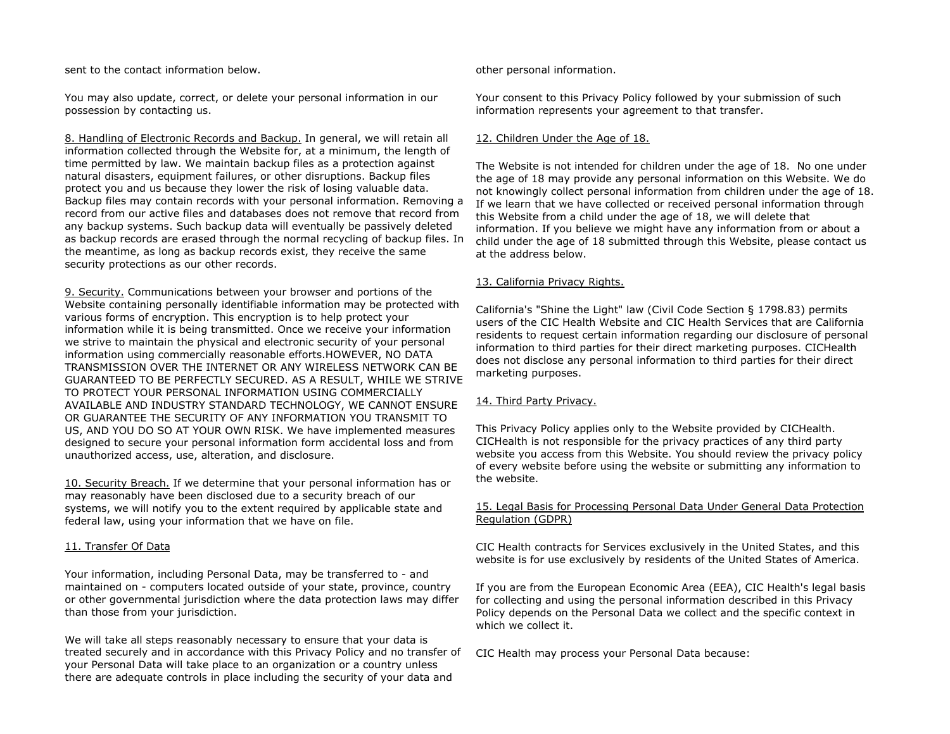sent to the contact information below.

You may also update, correct, or delete your personal information in our possession by contacting us.

8. Handling of Electronic Records and Backup. In general, we will retain all information collected through the Website for, at a minimum, the length of time permitted by law. We maintain backup files as a protection against natural disasters, equipment failures, or other disruptions. Backup files protect you and us because they lower the risk of losing valuable data. Backup files may contain records with your personal information. Removing a record from our active files and databases does not remove that record from any backup systems. Such backup data will eventually be passively deleted as backup records are erased through the normal recycling of backup files. In the meantime, as long as backup records exist, they receive the same security protections as our other records.

9. Security. Communications between your browser and portions of the Website containing personally identifiable information may be protected with various forms of encryption. This encryption is to help protect your information while it is being transmitted. Once we receive your information we strive to maintain the physical and electronic security of your personal information using commercially reasonable efforts.HOWEVER, NO DATA TRANSMISSION OVER THE INTERNET OR ANY WIRELESS NETWORK CAN BE GUARANTEED TO BE PERFECTLY SECURED. AS A RESULT, WHILE WE STRIVE TO PROTECT YOUR PERSONAL INFORMATION USING COMMERCIALLY AVAILABLE AND INDUSTRY STANDARD TECHNOLOGY, WE CANNOT ENSURE OR GUARANTEE THE SECURITY OF ANY INFORMATION YOU TRANSMIT TO US, AND YOU DO SO AT YOUR OWN RISK. We have implemented measures designed to secure your personal information form accidental loss and from unauthorized access, use, alteration, and disclosure.

10. Security Breach. If we determine that your personal information has or may reasonably have been disclosed due to a security breach of our systems, we will notify you to the extent required by applicable state and federal law, using your information that we have on file.

#### 11. Transfer Of Data

Your information, including Personal Data, may be transferred to - and maintained on - computers located outside of your state, province, country or other governmental jurisdiction where the data protection laws may differ than those from your jurisdiction.

We will take all steps reasonably necessary to ensure that your data is treated securely and in accordance with this Privacy Policy and no transfer of your Personal Data will take place to an organization or a country unless there are adequate controls in place including the security of your data and

other personal information.

Your consent to this Privacy Policy followed by your submission of such information represents your agreement to that transfer.

#### 12. Children Under the Age of 18.

The Website is not intended for children under the age of 18. No one under the age of 18 may provide any personal information on this Website. We do not knowingly collect personal information from children under the age of 18. If we learn that we have collected or received personal information through this Website from a child under the age of 18, we will delete that information. If you believe we might have any information from or about a child under the age of 18 submitted through this Website, please contact us at the address below.

#### 13. California Privacy Rights.

California's "Shine the Light" law (Civil Code Section § 1798.83) permits users of the CIC Health Website and CIC Health Services that are California residents to request certain information regarding our disclosure of personal information to third parties for their direct marketing purposes. CICHealth does not disclose any personal information to third parties for their direct marketing purposes.

## 14. Third Party Privacy.

This Privacy Policy applies only to the Website provided by CICHealth. CICHealth is not responsible for the privacy practices of any third party website you access from this Website. You should review the privacy policy of every website before using the website or submitting any information to the website.

#### 15. Legal Basis for Processing Personal Data Under General Data Protection Regulation (GDPR)

CIC Health contracts for Services exclusively in the United States, and this website is for use exclusively by residents of the United States of America.

If you are from the European Economic Area (EEA), CIC Health's legal basis for collecting and using the personal information described in this Privacy Policy depends on the Personal Data we collect and the specific context in which we collect it.

CIC Health may process your Personal Data because: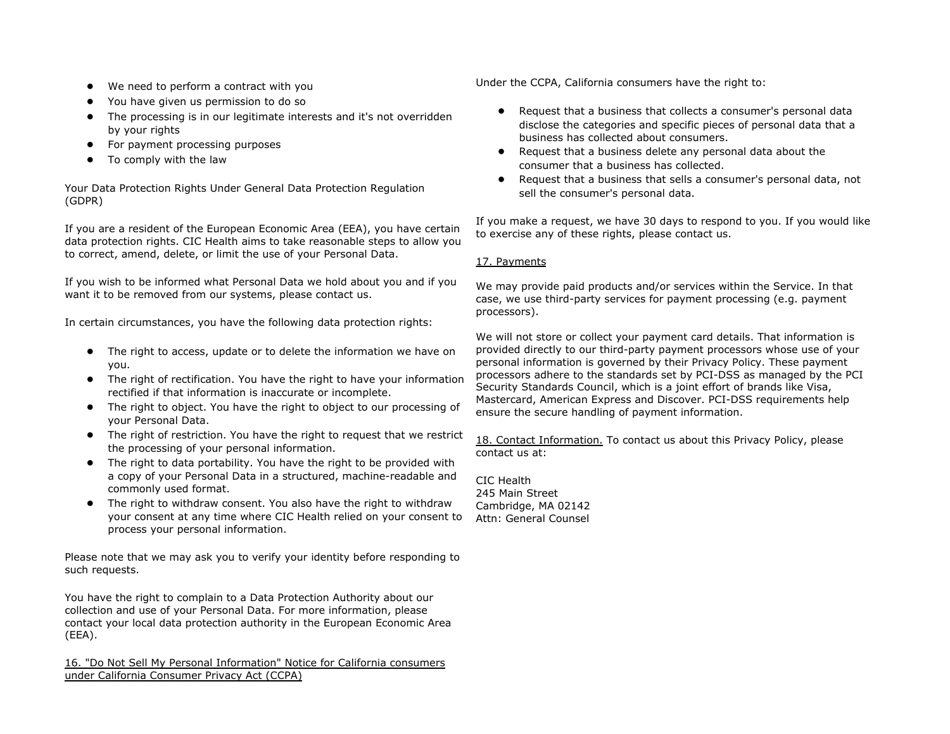- We need to perform a contract with you
- You have given us permission to do so
- The processing is in our legitimate interests and it's not overridden by your rights
- For payment processing purposes
- To comply with the law

Your Data Protection Rights Under General Data Protection Regulation (GDPR)

If you are a resident of the European Economic Area (EEA), you have certain data protection rights. CIC Health aims to take reasonable steps to allow you to correct, amend, delete, or limit the use of your Personal Data.

If you wish to be informed what Personal Data we hold about you and if you want it to be removed from our systems, please contact us.

In certain circumstances, you have the following data protection rights:

- The right to access, update or to delete the information we have on you.
- The right of rectification. You have the right to have your information rectified if that information is inaccurate or incomplete.
- The right to object. You have the right to object to our processing of your Personal Data.
- The right of restriction. You have the right to request that we restrict the processing of your personal information.
- The right to data portability. You have the right to be provided with a copy of your Personal Data in a structured, machine-readable and commonly used format.
- The right to withdraw consent. You also have the right to withdraw your consent at any time where CIC Health relied on your consent to process your personal information.

Please note that we may ask you to verify your identity before responding to such requests.

You have the right to complain to a Data Protection Authority about our collection and use of your Personal Data. For more information, please contact your local data protection authority in the European Economic Area (EEA).

16. "Do Not Sell My Personal Information" Notice for California consumers under California Consumer Privacy Act (CCPA)

Under the CCPA, California consumers have the right to:

- Request that a business that collects a consumer's personal data disclose the categories and specific pieces of personal data that a business has collected about consumers.
- Request that a business delete any personal data about the consumer that a business has collected.
- Request that a business that sells a consumer's personal data, not sell the consumer's personal data.

If you make a request, we have 30 days to respond to you. If you would like to exercise any of these rights, please contact us.

## 17. Payments

We may provide paid products and/or services within the Service. In that case, we use third-party services for payment processing (e.g. payment processors).

We will not store or collect your payment card details. That information is provided directly to our third-party payment processors whose use of your personal information is governed by their Privacy Policy. These payment processors adhere to the standards set by PCI-DSS as managed by the PCI Security Standards Council, which is a joint effort of brands like Visa, Mastercard, American Express and Discover. PCI-DSS requirements help ensure the secure handling of payment information.

18. Contact Information. To contact us about this Privacy Policy, please contact us at:

CIC Health 245 Main Street Cambridge, MA 02142 Attn: General Counsel